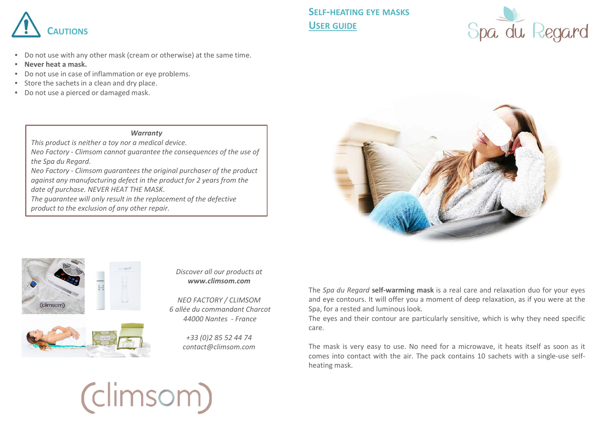

- Do not use with any other mask (cream or otherwise) at the same time.
- **Never heat a mask.**
- Do not use in case of inflammation or eye problems.
- Store the sachets in a clean and dry place.
- Do not use a pierced or damaged mask.

## *Warranty*

*This product is neither a toy nor a medical device.* 

*Neo Factory - Climsom cannot guarantee the consequences of the use of the Spa du Regard.*

*Neo Factory - Climsom guarantees the original purchaser of the product against any manufacturing defect in the product for 2 years from the date of purchase. NEVER HEAT THE MASK.*

*The guarantee will only result in the replacement of the defective product to the exclusion of any other repair.*







## *Discover all our products at www.climsom.com*

*NEO FACTORY / CLIMSOM 6 allée du commandant Charcot 44000 Nantes - France*

> *+33 (0)2 85 52 44 74 contact@climsom.com*

The *Spa du Regard* **self-warming mask** is a real care and relaxation duo for your eyes and eye contours. It will offer you a moment of deep relaxation, as if you were at the Spa, for a rested and luminous look.

The eyes and their contour are particularly sensitive, which is why they need specific care.

The mask is very easy to use. No need for a microwave, it heats itself as soon as it comes into contact with the air. The pack contains 10 sachets with a single-use selfheating mask.

## (climsom)

**SELF-HEATING EYE MASKS USER GUIDE**